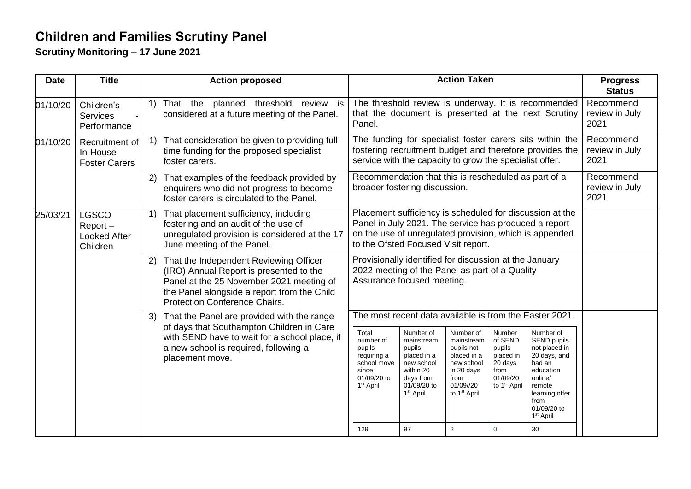## **Children and Families Scrutiny Panel**

**Scrutiny Monitoring – 17 June 2021**

| <b>Date</b> | <b>Title</b>                                                  | <b>Action proposed</b>                                                                                                                                                                                                      | <b>Action Taken</b>                                                                                                                                                                                                                                                                                                                                                                                                                                                                                                                                                                                                                                                    | <b>Progress</b><br><b>Status</b>    |
|-------------|---------------------------------------------------------------|-----------------------------------------------------------------------------------------------------------------------------------------------------------------------------------------------------------------------------|------------------------------------------------------------------------------------------------------------------------------------------------------------------------------------------------------------------------------------------------------------------------------------------------------------------------------------------------------------------------------------------------------------------------------------------------------------------------------------------------------------------------------------------------------------------------------------------------------------------------------------------------------------------------|-------------------------------------|
| 01/10/20    | Children's<br><b>Services</b><br>Performance                  | threshold<br>review is<br>That the planned<br>$\left( \begin{matrix} 1 \end{matrix} \right)$<br>considered at a future meeting of the Panel.                                                                                | The threshold review is underway. It is recommended<br>that the document is presented at the next Scrutiny<br>Panel.                                                                                                                                                                                                                                                                                                                                                                                                                                                                                                                                                   | Recommend<br>review in July<br>2021 |
| 01/10/20    | Recruitment of<br>In-House<br><b>Foster Carers</b>            | That consideration be given to providing full<br>1)<br>time funding for the proposed specialist<br>foster carers.                                                                                                           | The funding for specialist foster carers sits within the<br>fostering recruitment budget and therefore provides the<br>service with the capacity to grow the specialist offer.                                                                                                                                                                                                                                                                                                                                                                                                                                                                                         | Recommend<br>review in July<br>2021 |
|             |                                                               | That examples of the feedback provided by<br>2)<br>enquirers who did not progress to become<br>foster carers is circulated to the Panel.                                                                                    | Recommendation that this is rescheduled as part of a<br>broader fostering discussion.                                                                                                                                                                                                                                                                                                                                                                                                                                                                                                                                                                                  | Recommend<br>review in July<br>2021 |
| 25/03/21    | <b>LGSCO</b><br>$Report -$<br><b>Looked After</b><br>Children | That placement sufficiency, including<br>$\left( \begin{matrix} 1 \end{matrix} \right)$<br>fostering and an audit of the use of<br>unregulated provision is considered at the 17<br>June meeting of the Panel.              | Placement sufficiency is scheduled for discussion at the<br>Panel in July 2021. The service has produced a report<br>on the use of unregulated provision, which is appended<br>to the Ofsted Focused Visit report.                                                                                                                                                                                                                                                                                                                                                                                                                                                     |                                     |
|             |                                                               | That the Independent Reviewing Officer<br>(2)<br>(IRO) Annual Report is presented to the<br>Panel at the 25 November 2021 meeting of<br>the Panel alongside a report from the Child<br><b>Protection Conference Chairs.</b> | Provisionally identified for discussion at the January<br>2022 meeting of the Panel as part of a Quality<br>Assurance focused meeting.                                                                                                                                                                                                                                                                                                                                                                                                                                                                                                                                 |                                     |
|             |                                                               | That the Panel are provided with the range<br>3)<br>of days that Southampton Children in Care<br>with SEND have to wait for a school place, if<br>a new school is required, following a<br>placement move.                  | The most recent data available is from the Easter 2021.                                                                                                                                                                                                                                                                                                                                                                                                                                                                                                                                                                                                                |                                     |
|             |                                                               |                                                                                                                                                                                                                             | Total<br>Number of<br>Number of<br>Number of<br>Number<br>of SEND<br>SEND pupils<br>number of<br>mainstream<br>mainstream<br>not placed in<br>pupils<br>pupils<br>pupils not<br>pupils<br>placed in a<br>20 days, and<br>placed in a<br>placed in<br>requiring a<br>school move<br>new school<br>new school<br>20 days<br>had an<br>within 20<br>in 20 days<br>from<br>education<br>since<br>01/09/20<br>01/09/20 to<br>days from<br>from<br>online/<br>01/09/20 to<br>to 1 <sup>st</sup> April<br>1 <sup>st</sup> April<br>01/09//20<br>remote<br>1 <sup>st</sup> April<br>to 1 <sup>st</sup> April<br>learning offer<br>from<br>01/09/20 to<br>1 <sup>st</sup> April |                                     |
|             |                                                               |                                                                                                                                                                                                                             | $\overline{2}$<br>129<br>97<br>$\overline{0}$<br>30                                                                                                                                                                                                                                                                                                                                                                                                                                                                                                                                                                                                                    |                                     |